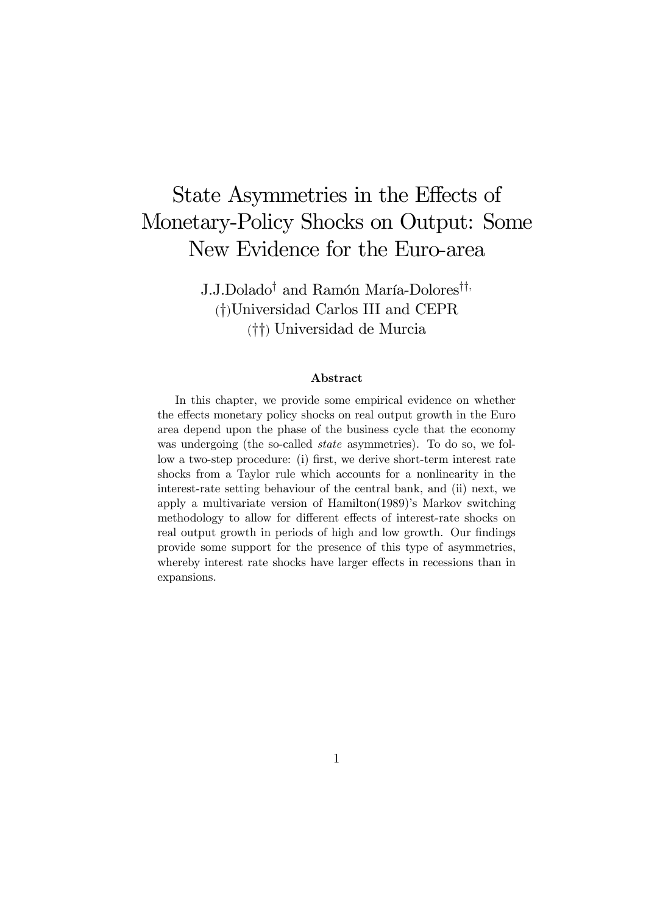# State Asymmetries in the Effects of Monetary-Policy Shocks on Output: Some New Evidence for the Euro-area

J.J.Dolado† and Ramón María-Dolores††, (†)Universidad Carlos III and CEPR (††) Universidad de Murcia

#### Abstract

In this chapter, we provide some empirical evidence on whether the effects monetary policy shocks on real output growth in the Euro area depend upon the phase of the business cycle that the economy was undergoing (the so-called *state* asymmetries). To do so, we follow a two-step procedure: (i) first, we derive short-term interest rate shocks from a Taylor rule which accounts for a nonlinearity in the interest-rate setting behaviour of the central bank, and (ii) next, we apply a multivariate version of Hamilton(1989)'s Markov switching methodology to allow for different effects of interest-rate shocks on real output growth in periods of high and low growth. Our findings provide some support for the presence of this type of asymmetries, whereby interest rate shocks have larger effects in recessions than in expansions.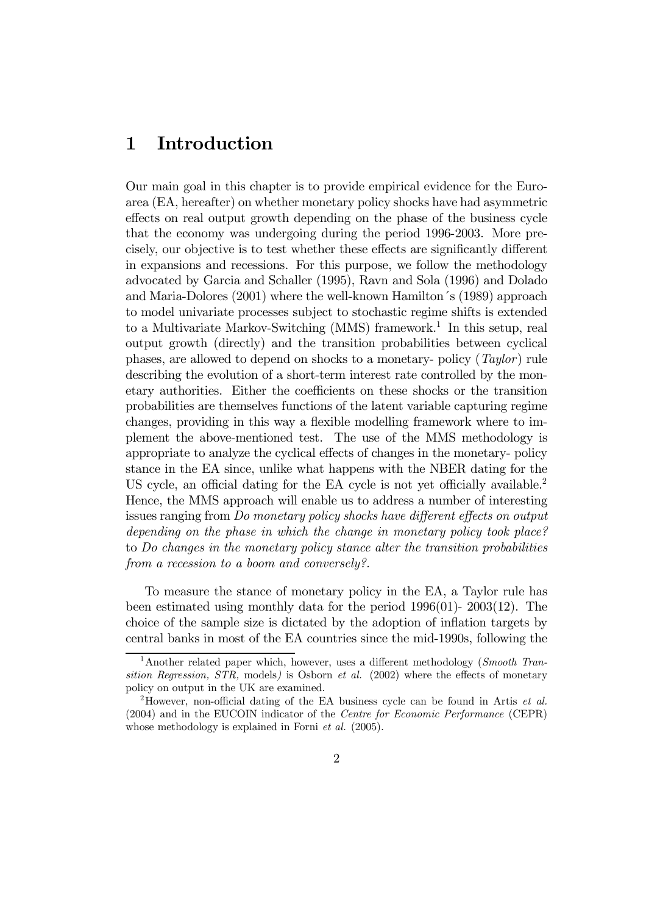## 1 Introduction

Our main goal in this chapter is to provide empirical evidence for the Euroarea (EA, hereafter) on whether monetary policy shocks have had asymmetric effects on real output growth depending on the phase of the business cycle that the economy was undergoing during the period 1996-2003. More precisely, our objective is to test whether these effects are significantly different in expansions and recessions. For this purpose, we follow the methodology advocated by Garcia and Schaller (1995), Ravn and Sola (1996) and Dolado and Maria-Dolores (2001) where the well-known Hamilton´s (1989) approach to model univariate processes subject to stochastic regime shifts is extended to a Multivariate Markov-Switching (MMS) framework.<sup>1</sup> In this setup, real output growth (directly) and the transition probabilities between cyclical phases, are allowed to depend on shocks to a monetary- policy (Taylor) rule describing the evolution of a short-term interest rate controlled by the monetary authorities. Either the coefficients on these shocks or the transition probabilities are themselves functions of the latent variable capturing regime changes, providing in this way a flexible modelling framework where to implement the above-mentioned test. The use of the MMS methodology is appropriate to analyze the cyclical effects of changes in the monetary- policy stance in the EA since, unlike what happens with the NBER dating for the US cycle, an official dating for the EA cycle is not yet officially available.<sup>2</sup> Hence, the MMS approach will enable us to address a number of interesting issues ranging from Do monetary policy shocks have different effects on output depending on the phase in which the change in monetary policy took place? to Do changes in the monetary policy stance alter the transition probabilities from a recession to a boom and conversely?.

To measure the stance of monetary policy in the EA, a Taylor rule has been estimated using monthly data for the period 1996(01)- 2003(12). The choice of the sample size is dictated by the adoption of inflation targets by central banks in most of the EA countries since the mid-1990s, following the

<sup>&</sup>lt;sup>1</sup>Another related paper which, however, uses a different methodology (*Smooth Tran*sition Regression,  $STR$ , models) is Osborn *et al.* (2002) where the effects of monetary policy on output in the UK are examined.

<sup>2</sup>However, non-official dating of the EA business cycle can be found in Artis et al. (2004) and in the EUCOIN indicator of the Centre for Economic Performance (CEPR) whose methodology is explained in Forni *et al.* (2005).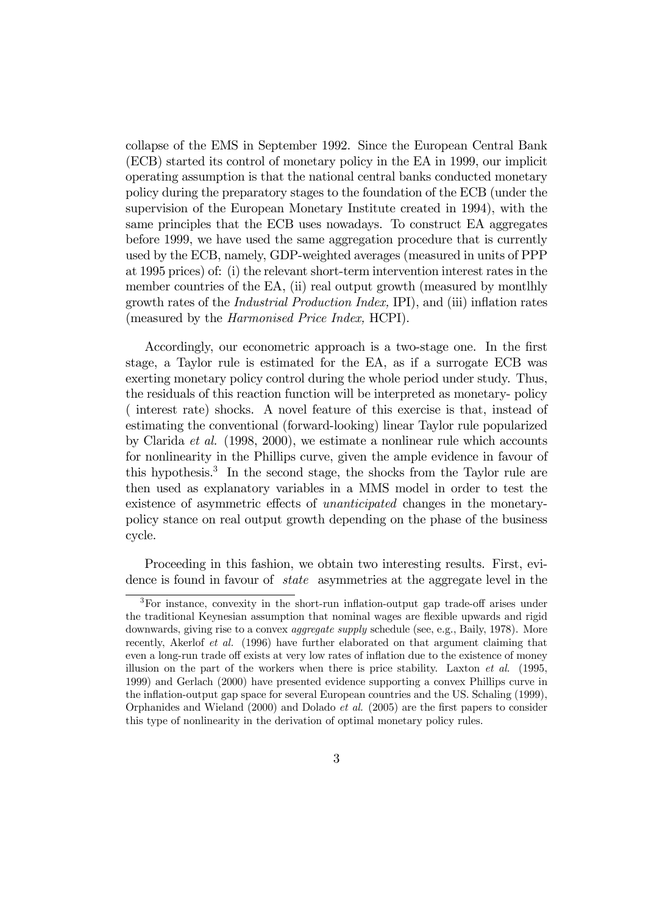collapse of the EMS in September 1992. Since the European Central Bank (ECB) started its control of monetary policy in the EA in 1999, our implicit operating assumption is that the national central banks conducted monetary policy during the preparatory stages to the foundation of the ECB (under the supervision of the European Monetary Institute created in 1994), with the same principles that the ECB uses nowadays. To construct EA aggregates before 1999, we have used the same aggregation procedure that is currently used by the ECB, namely, GDP-weighted averages (measured in units of PPP at 1995 prices) of: (i) the relevant short-term intervention interest rates in the member countries of the EA, (ii) real output growth (measured by montlhly growth rates of the Industrial Production Index, IPI), and (iii) inflation rates (measured by the Harmonised Price Index, HCPI).

Accordingly, our econometric approach is a two-stage one. In the first stage, a Taylor rule is estimated for the EA, as if a surrogate ECB was exerting monetary policy control during the whole period under study. Thus, the residuals of this reaction function will be interpreted as monetary- policy ( interest rate) shocks. A novel feature of this exercise is that, instead of estimating the conventional (forward-looking) linear Taylor rule popularized by Clarida et al. (1998, 2000), we estimate a nonlinear rule which accounts for nonlinearity in the Phillips curve, given the ample evidence in favour of this hypothesis.3 In the second stage, the shocks from the Taylor rule are then used as explanatory variables in a MMS model in order to test the existence of asymmetric effects of unanticipated changes in the monetarypolicy stance on real output growth depending on the phase of the business cycle.

Proceeding in this fashion, we obtain two interesting results. First, evidence is found in favour of state asymmetries at the aggregate level in the

<sup>3</sup>For instance, convexity in the short-run inflation-output gap trade-off arises under the traditional Keynesian assumption that nominal wages are flexible upwards and rigid downwards, giving rise to a convex aggregate supply schedule (see, e.g., Baily, 1978). More recently, Akerlof *et al.* (1996) have further elaborated on that argument claiming that even a long-run trade off exists at very low rates of inflation due to the existence of money illusion on the part of the workers when there is price stability. Laxton et al. (1995, 1999) and Gerlach (2000) have presented evidence supporting a convex Phillips curve in the inflation-output gap space for several European countries and the US. Schaling (1999), Orphanides and Wieland (2000) and Dolado et al. (2005) are the first papers to consider this type of nonlinearity in the derivation of optimal monetary policy rules.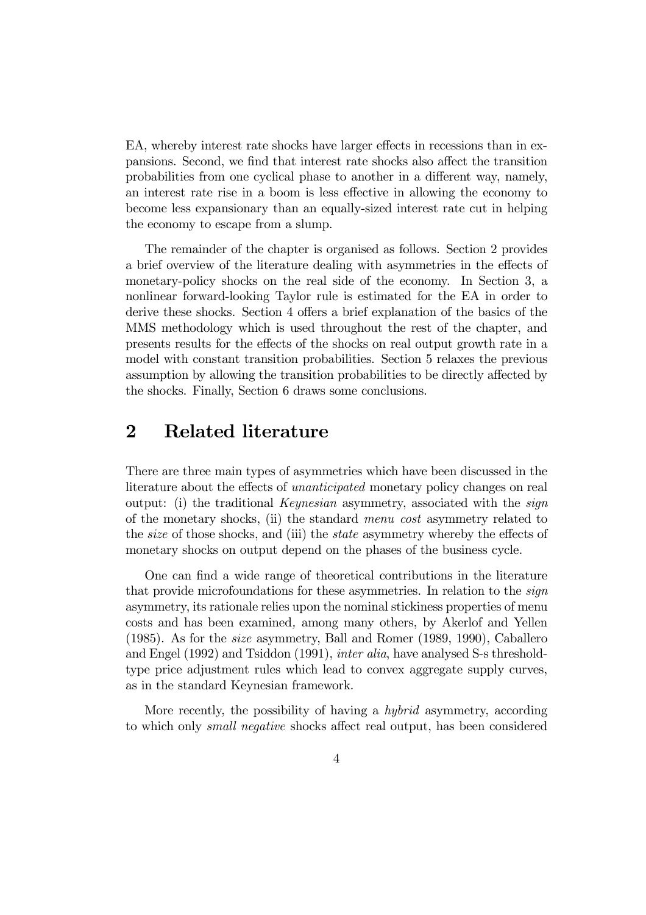EA, whereby interest rate shocks have larger effects in recessions than in expansions. Second, we find that interest rate shocks also affect the transition probabilities from one cyclical phase to another in a different way, namely, an interest rate rise in a boom is less effective in allowing the economy to become less expansionary than an equally-sized interest rate cut in helping the economy to escape from a slump.

The remainder of the chapter is organised as follows. Section 2 provides a brief overview of the literature dealing with asymmetries in the effects of monetary-policy shocks on the real side of the economy. In Section 3, a nonlinear forward-looking Taylor rule is estimated for the EA in order to derive these shocks. Section 4 offers a brief explanation of the basics of the MMS methodology which is used throughout the rest of the chapter, and presents results for the effects of the shocks on real output growth rate in a model with constant transition probabilities. Section 5 relaxes the previous assumption by allowing the transition probabilities to be directly affected by the shocks. Finally, Section 6 draws some conclusions.

## 2 Related literature

There are three main types of asymmetries which have been discussed in the literature about the effects of unanticipated monetary policy changes on real output: (i) the traditional Keynesian asymmetry, associated with the sign of the monetary shocks, (ii) the standard menu cost asymmetry related to the size of those shocks, and (iii) the state asymmetry whereby the effects of monetary shocks on output depend on the phases of the business cycle.

One can find a wide range of theoretical contributions in the literature that provide microfoundations for these asymmetries. In relation to the sign asymmetry, its rationale relies upon the nominal stickiness properties of menu costs and has been examined, among many others, by Akerlof and Yellen (1985). As for the size asymmetry, Ball and Romer (1989, 1990), Caballero and Engel (1992) and Tsiddon (1991), inter alia, have analysed S-s thresholdtype price adjustment rules which lead to convex aggregate supply curves, as in the standard Keynesian framework.

More recently, the possibility of having a hybrid asymmetry, according to which only small negative shocks affect real output, has been considered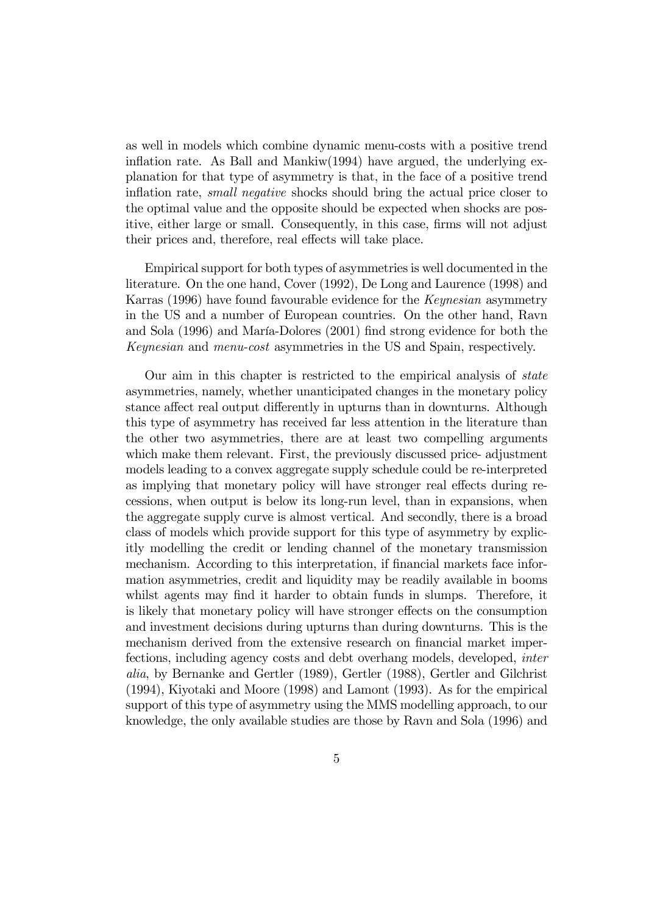as well in models which combine dynamic menu-costs with a positive trend inflation rate. As Ball and Mankiw(1994) have argued, the underlying explanation for that type of asymmetry is that, in the face of a positive trend inflation rate, small negative shocks should bring the actual price closer to the optimal value and the opposite should be expected when shocks are positive, either large or small. Consequently, in this case, firms will not adjust their prices and, therefore, real effects will take place.

Empirical support for both types of asymmetries is well documented in the literature. On the one hand, Cover (1992), De Long and Laurence (1998) and Karras (1996) have found favourable evidence for the Keynesian asymmetry in the US and a number of European countries. On the other hand, Ravn and Sola (1996) and María-Dolores (2001) find strong evidence for both the Keynesian and menu-cost asymmetries in the US and Spain, respectively.

Our aim in this chapter is restricted to the empirical analysis of state asymmetries, namely, whether unanticipated changes in the monetary policy stance affect real output differently in upturns than in downturns. Although this type of asymmetry has received far less attention in the literature than the other two asymmetries, there are at least two compelling arguments which make them relevant. First, the previously discussed price- adjustment models leading to a convex aggregate supply schedule could be re-interpreted as implying that monetary policy will have stronger real effects during recessions, when output is below its long-run level, than in expansions, when the aggregate supply curve is almost vertical. And secondly, there is a broad class of models which provide support for this type of asymmetry by explicitly modelling the credit or lending channel of the monetary transmission mechanism. According to this interpretation, if financial markets face information asymmetries, credit and liquidity may be readily available in booms whilst agents may find it harder to obtain funds in slumps. Therefore, it is likely that monetary policy will have stronger effects on the consumption and investment decisions during upturns than during downturns. This is the mechanism derived from the extensive research on financial market imperfections, including agency costs and debt overhang models, developed, inter alia, by Bernanke and Gertler (1989), Gertler (1988), Gertler and Gilchrist (1994), Kiyotaki and Moore (1998) and Lamont (1993). As for the empirical support of this type of asymmetry using the MMS modelling approach, to our knowledge, the only available studies are those by Ravn and Sola (1996) and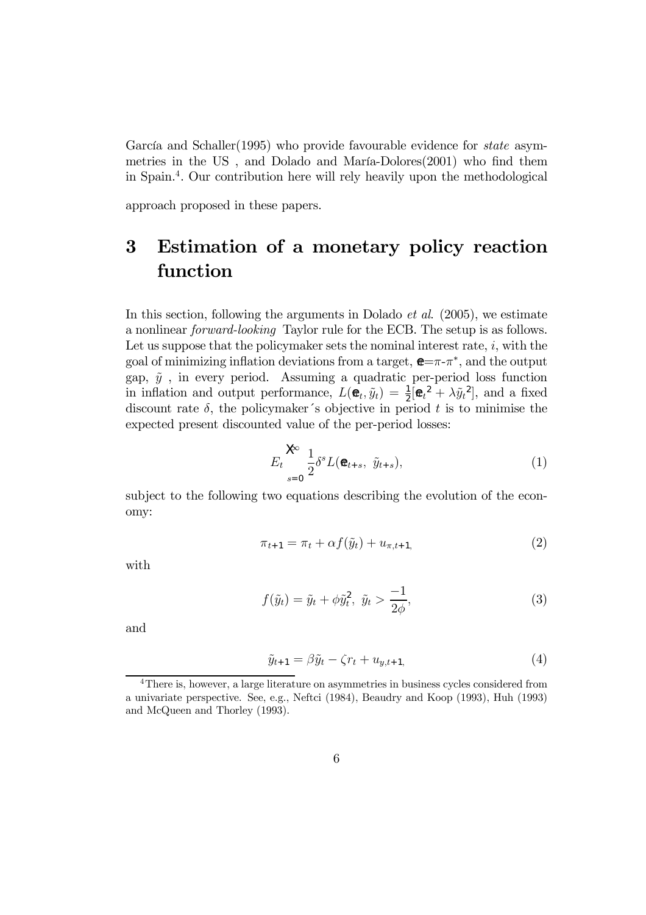García and Schaller(1995) who provide favourable evidence for *state* asymmetries in the US , and Dolado and María-Dolores(2001) who find them in Spain.4. Our contribution here will rely heavily upon the methodological

approach proposed in these papers.

## 3 Estimation of a monetary policy reaction function

In this section, following the arguments in Dolado *et al.* (2005), we estimate a nonlinear forward-looking Taylor rule for the ECB. The setup is as follows. Let us suppose that the policymaker sets the nominal interest rate,  $i$ , with the goal of minimizing inflation deviations from a target,  $\mathbf{E} = \pi - \pi^*$ , and the output gap,  $\tilde{y}$ , in every period. Assuming a quadratic per-period loss function in inflation and output performance,  $L(\mathbf{\hat{e}}_t, \tilde{y}_t) = \frac{1}{2} [\mathbf{\hat{e}}_t^2 + \lambda \tilde{y}_t^2]$ , and a fixed discount rate  $\delta$ , the policymaker's objective in period t is to minimise the expected present discounted value of the per-period losses:

$$
E_t \sum_{s=0}^{\infty} \frac{1}{2} \delta^s L(\mathbf{\Theta}_{t+s}, \ \tilde{y}_{t+s}), \tag{1}
$$

subject to the following two equations describing the evolution of the economy:

$$
\pi_{t+1} = \pi_t + \alpha f(\tilde{y}_t) + u_{\pi, t+1},\tag{2}
$$

with

$$
f(\tilde{y}_t) = \tilde{y}_t + \phi \tilde{y}_t^2, \ \tilde{y}_t > \frac{-1}{2\phi}, \tag{3}
$$

and

$$
\tilde{y}_{t+1} = \beta \tilde{y}_t - \zeta r_t + u_{y,t+1},\tag{4}
$$

<sup>&</sup>lt;sup>4</sup>There is, however, a large literature on asymmetries in business cycles considered from a univariate perspective. See, e.g., Neftci (1984), Beaudry and Koop (1993), Huh (1993) and McQueen and Thorley (1993).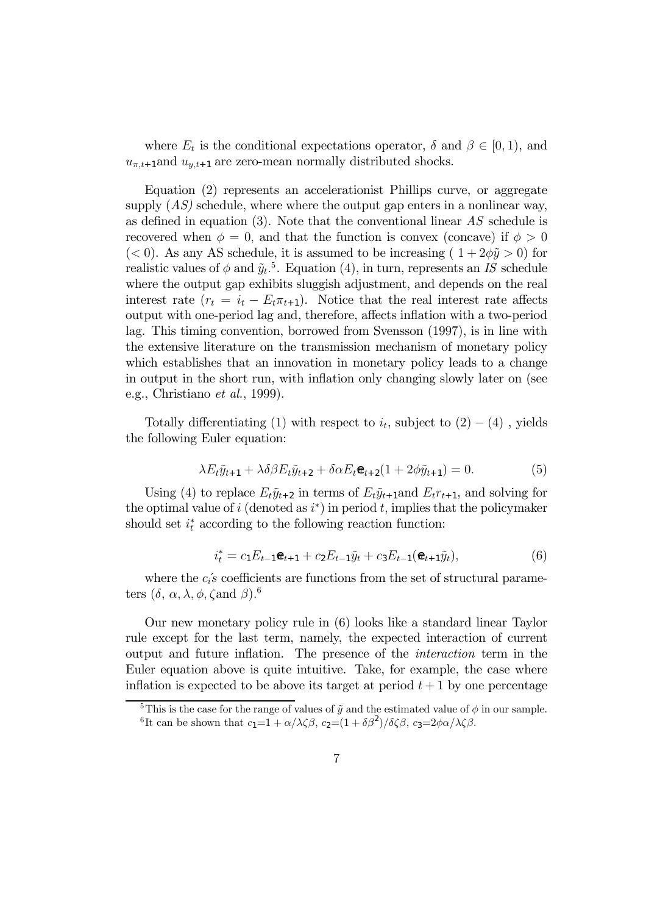where  $E_t$  is the conditional expectations operator,  $\delta$  and  $\beta \in [0, 1)$ , and  $u_{\pi,t+1}$ and  $u_{u,t+1}$  are zero-mean normally distributed shocks.

Equation (2) represents an accelerationist Phillips curve, or aggregate supply  $(AS)$  schedule, where where the output gap enters in a nonlinear way, as defined in equation (3). Note that the conventional linear  $AS$  schedule is recovered when  $\phi = 0$ , and that the function is convex (concave) if  $\phi > 0$ ( $<$  0). As any AS schedule, it is assumed to be increasing ( $1+2\phi\tilde{y} > 0$ ) for realistic values of  $\phi$  and  $\tilde{y}_t$ <sup>5</sup>. Equation (4), in turn, represents an IS schedule where the output gap exhibits sluggish adjustment, and depends on the real interest rate  $(r_t = i_t - E_t \pi_{t+1})$ . Notice that the real interest rate affects output with one-period lag and, therefore, affects inflation with a two-period lag. This timing convention, borrowed from Svensson (1997), is in line with the extensive literature on the transmission mechanism of monetary policy which establishes that an innovation in monetary policy leads to a change in output in the short run, with inflation only changing slowly later on (see e.g., Christiano et al., 1999).

Totally differentiating (1) with respect to  $i_t$ , subject to  $(2) - (4)$ , yields the following Euler equation:

$$
\lambda E_t \tilde{y}_{t+1} + \lambda \delta \beta E_t \tilde{y}_{t+2} + \delta \alpha E_t \mathbf{e}_{t+2} (1 + 2\phi \tilde{y}_{t+1}) = 0. \tag{5}
$$

Using (4) to replace  $E_t\tilde{y}_{t+2}$  in terms of  $E_t\tilde{y}_{t+1}$  and  $E_t r_{t+1}$ , and solving for the optimal value of i (denoted as  $i^*$ ) in period t, implies that the policymaker should set  $i_t^*$  according to the following reaction function:

$$
i_t^* = c_1 E_{t-1} \mathbf{e}_{t+1} + c_2 E_{t-1} \tilde{y}_t + c_3 E_{t-1} (\mathbf{e}_{t+1} \tilde{y}_t),
$$
(6)

where the  $c_i$ 's coefficients are functions from the set of structural parameters  $(\delta, \alpha, \lambda, \phi, \zeta \text{and } \beta)$ .<sup>6</sup>

Our new monetary policy rule in (6) looks like a standard linear Taylor rule except for the last term, namely, the expected interaction of current output and future inflation. The presence of the interaction term in the Euler equation above is quite intuitive. Take, for example, the case where inflation is expected to be above its target at period  $t + 1$  by one percentage

<sup>&</sup>lt;sup>5</sup>This is the case for the range of values of  $\tilde{y}$  and the estimated value of  $\phi$  in our sample. <sup>6</sup>It can be shown that  $c_1=1 + \alpha/\lambda\zeta\beta$ ,  $c_2=(1+\delta\beta^2)/\delta\zeta\beta$ ,  $c_3=2\phi\alpha/\lambda\zeta\beta$ .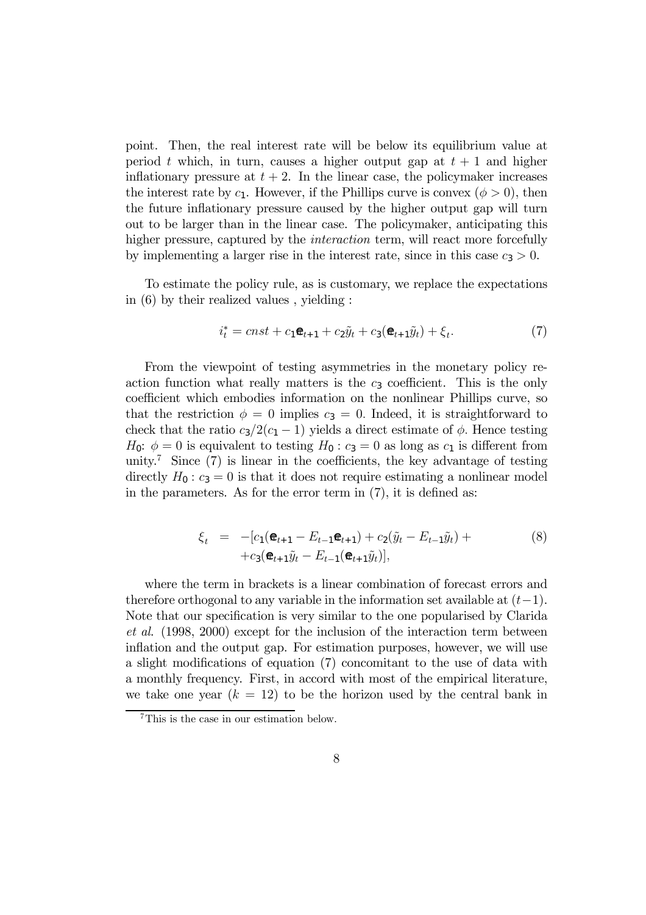point. Then, the real interest rate will be below its equilibrium value at period t which, in turn, causes a higher output gap at  $t + 1$  and higher inflationary pressure at  $t + 2$ . In the linear case, the policymaker increases the interest rate by  $c_1$ . However, if the Phillips curve is convex  $(\phi > 0)$ , then the future inflationary pressure caused by the higher output gap will turn out to be larger than in the linear case. The policymaker, anticipating this higher pressure, captured by the *interaction* term, will react more forcefully by implementing a larger rise in the interest rate, since in this case  $c_3 > 0$ .

To estimate the policy rule, as is customary, we replace the expectations in (6) by their realized values , yielding :

$$
i_t^* = cnst + c_1 \mathbf{\mathfrak{E}}_{t+1} + c_2 \tilde{y}_t + c_3 (\mathbf{\mathfrak{E}}_{t+1} \tilde{y}_t) + \xi_t.
$$
 (7)

From the viewpoint of testing asymmetries in the monetary policy reaction function what really matters is the  $c_3$  coefficient. This is the only coefficient which embodies information on the nonlinear Phillips curve, so that the restriction  $\phi = 0$  implies  $c_3 = 0$ . Indeed, it is straightforward to check that the ratio  $c_3/2(c_1 - 1)$  yields a direct estimate of  $\phi$ . Hence testing  $H_0$ :  $\phi = 0$  is equivalent to testing  $H_0$ :  $c_3 = 0$  as long as  $c_1$  is different from unity.<sup>7</sup> Since  $(7)$  is linear in the coefficients, the key advantage of testing directly  $H_0: c_3 = 0$  is that it does not require estimating a nonlinear model in the parameters. As for the error term in (7), it is defined as:

$$
\xi_t = -[c_1(\mathbf{\hat{e}}_{t+1} - E_{t-1}\mathbf{\hat{e}}_{t+1}) + c_2(\tilde{y}_t - E_{t-1}\tilde{y}_t) ++ c_3(\mathbf{\hat{e}}_{t+1}\tilde{y}_t - E_{t-1}(\mathbf{\hat{e}}_{t+1}\tilde{y}_t)],
$$
\n(8)

where the term in brackets is a linear combination of forecast errors and therefore orthogonal to any variable in the information set available at  $(t-1)$ . Note that our specification is very similar to the one popularised by Clarida et al. (1998, 2000) except for the inclusion of the interaction term between inflation and the output gap. For estimation purposes, however, we will use a slight modifications of equation (7) concomitant to the use of data with a monthly frequency. First, in accord with most of the empirical literature, we take one year  $(k = 12)$  to be the horizon used by the central bank in

<sup>7</sup>This is the case in our estimation below.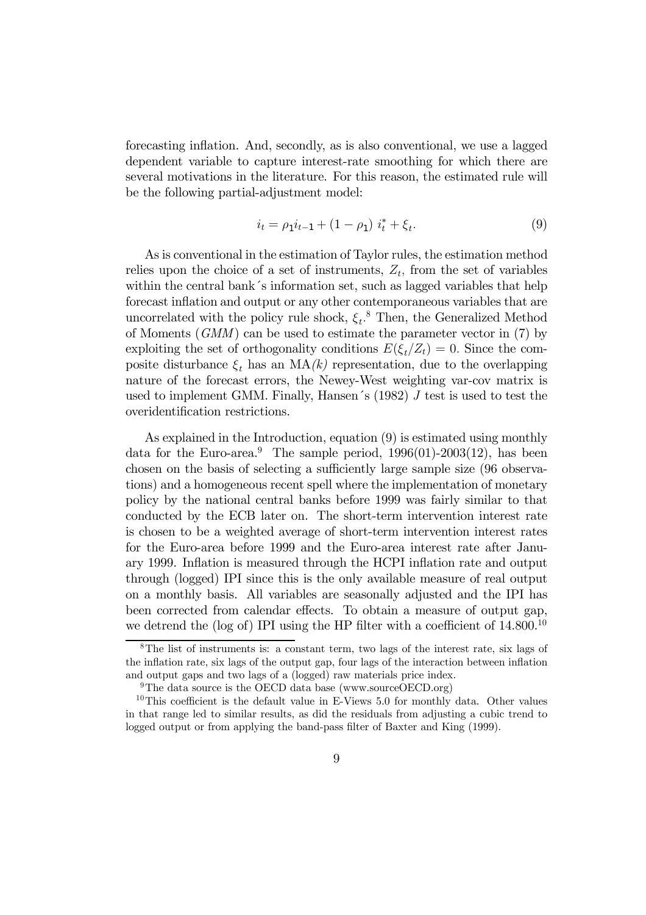forecasting inflation. And, secondly, as is also conventional, we use a lagged dependent variable to capture interest-rate smoothing for which there are several motivations in the literature. For this reason, the estimated rule will be the following partial-adjustment model:

$$
i_t = \rho_1 i_{t-1} + (1 - \rho_1) i_t^* + \xi_t.
$$
 (9)

As is conventional in the estimation of Taylor rules, the estimation method relies upon the choice of a set of instruments,  $Z_t$ , from the set of variables within the central bank's information set, such as lagged variables that help forecast inflation and output or any other contemporaneous variables that are uncorrelated with the policy rule shock,  $\xi_t$ .<sup>8</sup> Then, the Generalized Method of Moments (GMM) can be used to estimate the parameter vector in (7) by exploiting the set of orthogonality conditions  $E(\xi_t/Z_t)=0$ . Since the composite disturbance  $\xi_t$  has an MA(k) representation, due to the overlapping nature of the forecast errors, the Newey-West weighting var-cov matrix is used to implement GMM. Finally, Hansen's  $(1982)$  J test is used to test the overidentification restrictions.

As explained in the Introduction, equation (9) is estimated using monthly data for the Euro-area.<sup>9</sup> The sample period,  $1996(01)$ -2003(12), has been chosen on the basis of selecting a sufficiently large sample size (96 observations) and a homogeneous recent spell where the implementation of monetary policy by the national central banks before 1999 was fairly similar to that conducted by the ECB later on. The short-term intervention interest rate is chosen to be a weighted average of short-term intervention interest rates for the Euro-area before 1999 and the Euro-area interest rate after January 1999. Inflation is measured through the HCPI inflation rate and output through (logged) IPI since this is the only available measure of real output on a monthly basis. All variables are seasonally adjusted and the IPI has been corrected from calendar effects. To obtain a measure of output gap, we detrend the (log of) IPI using the HP filter with a coefficient of  $14.800^{10}$ 

<sup>8</sup>The list of instruments is: a constant term, two lags of the interest rate, six lags of the inflation rate, six lags of the output gap, four lags of the interaction between inflation and output gaps and two lags of a (logged) raw materials price index.

<sup>&</sup>lt;sup>9</sup>The data source is the OECD data base (www.sourceOECD.org)

 $10$ This coefficient is the default value in E-Views 5.0 for monthly data. Other values in that range led to similar results, as did the residuals from adjusting a cubic trend to logged output or from applying the band-pass filter of Baxter and King (1999).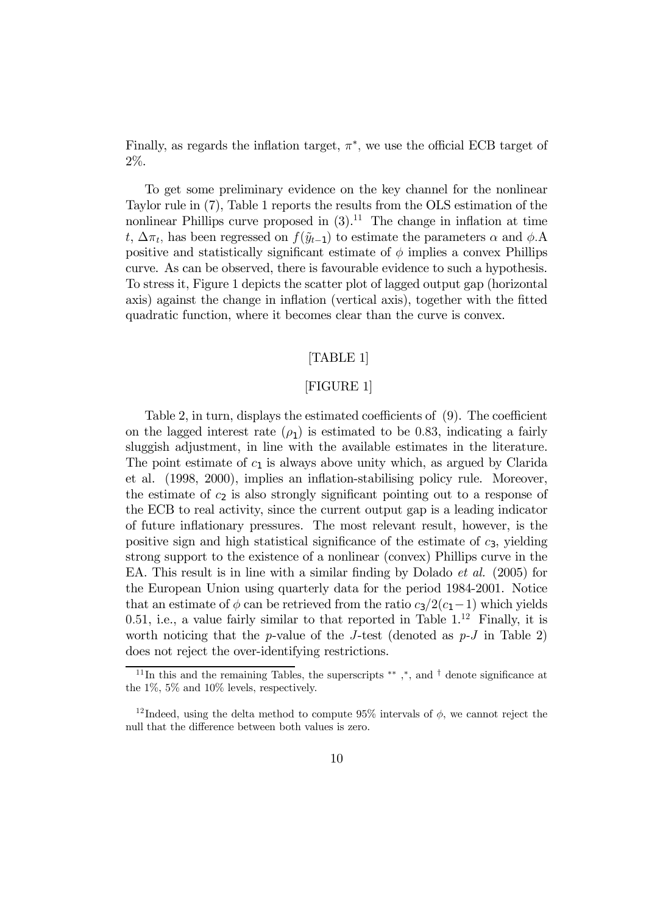Finally, as regards the inflation target,  $\pi^*$ , we use the official ECB target of 2%.

To get some preliminary evidence on the key channel for the nonlinear Taylor rule in (7), Table 1 reports the results from the OLS estimation of the nonlinear Phillips curve proposed in  $(3)$ .<sup>11</sup> The change in inflation at time t,  $\Delta \pi_t$ , has been regressed on  $f(\tilde{y}_{t-1})$  to estimate the parameters  $\alpha$  and  $\phi$ . positive and statistically significant estimate of  $\phi$  implies a convex Phillips curve. As can be observed, there is favourable evidence to such a hypothesis. To stress it, Figure 1 depicts the scatter plot of lagged output gap (horizontal axis) against the change in inflation (vertical axis), together with the fitted quadratic function, where it becomes clear than the curve is convex.

#### [TABLE 1]

#### [FIGURE 1]

Table 2, in turn, displays the estimated coefficients of (9). The coefficient on the lagged interest rate  $(\rho_1)$  is estimated to be 0.83, indicating a fairly sluggish adjustment, in line with the available estimates in the literature. The point estimate of  $c_1$  is always above unity which, as argued by Clarida et al. (1998, 2000), implies an inflation-stabilising policy rule. Moreover, the estimate of  $c_2$  is also strongly significant pointing out to a response of the ECB to real activity, since the current output gap is a leading indicator of future inflationary pressures. The most relevant result, however, is the positive sign and high statistical significance of the estimate of  $c_3$ , yielding strong support to the existence of a nonlinear (convex) Phillips curve in the EA. This result is in line with a similar finding by Dolado et al. (2005) for the European Union using quarterly data for the period 1984-2001. Notice that an estimate of  $\phi$  can be retrieved from the ratio  $c_3/2(c_1-1)$  which yields 0.51, i.e., a value fairly similar to that reported in Table  $1<sup>12</sup>$  Finally, it is worth noticing that the p-value of the J-test (denoted as  $p-J$  in Table 2) does not reject the over-identifying restrictions.

<sup>&</sup>lt;sup>11</sup>In this and the remaining Tables, the superscripts <sup>\*\*</sup>,\*, and <sup>†</sup> denote significance at the 1%, 5% and 10% levels, respectively.

<sup>&</sup>lt;sup>12</sup> Indeed, using the delta method to compute 95% intervals of  $\phi$ , we cannot reject the null that the difference between both values is zero.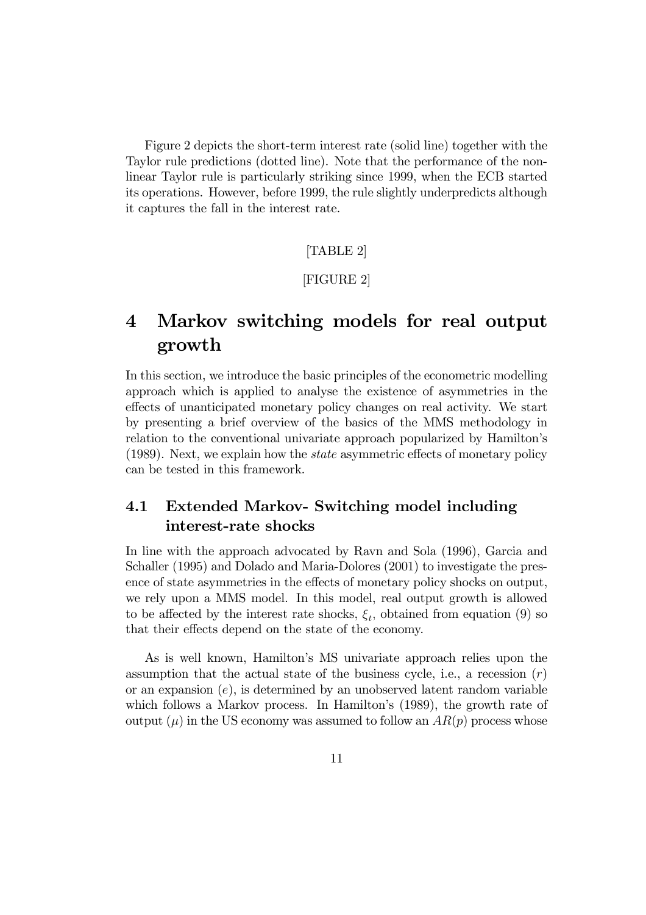Figure 2 depicts the short-term interest rate (solid line) together with the Taylor rule predictions (dotted line). Note that the performance of the nonlinear Taylor rule is particularly striking since 1999, when the ECB started its operations. However, before 1999, the rule slightly underpredicts although it captures the fall in the interest rate.

#### [TABLE 2]

#### [FIGURE 2]

## 4 Markov switching models for real output growth

In this section, we introduce the basic principles of the econometric modelling approach which is applied to analyse the existence of asymmetries in the effects of unanticipated monetary policy changes on real activity. We start by presenting a brief overview of the basics of the MMS methodology in relation to the conventional univariate approach popularized by Hamilton's (1989). Next, we explain how the state asymmetric effects of monetary policy can be tested in this framework.

## 4.1 Extended Markov- Switching model including interest-rate shocks

In line with the approach advocated by Ravn and Sola (1996), Garcia and Schaller (1995) and Dolado and Maria-Dolores (2001) to investigate the presence of state asymmetries in the effects of monetary policy shocks on output, we rely upon a MMS model. In this model, real output growth is allowed to be affected by the interest rate shocks,  $\xi_t$ , obtained from equation (9) so that their effects depend on the state of the economy.

As is well known, Hamilton's MS univariate approach relies upon the assumption that the actual state of the business cycle, i.e., a recession  $(r)$ or an expansion  $(e)$ , is determined by an unobserved latent random variable which follows a Markov process. In Hamilton's (1989), the growth rate of output  $(\mu)$  in the US economy was assumed to follow an  $AR(p)$  process whose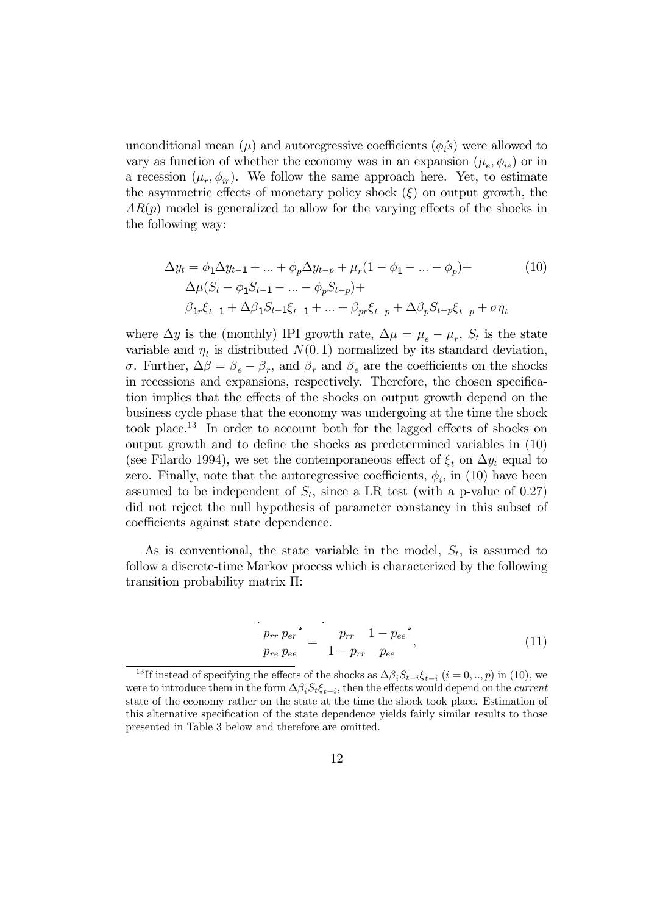unconditional mean  $(\mu)$  and autoregressive coefficients  $(\phi_i^{\prime s})$  were allowed to vary as function of whether the economy was in an expansion  $(\mu_e, \phi_{ie})$  or in a recession  $(\mu_r, \phi_{ir})$ . We follow the same approach here. Yet, to estimate the asymmetric effects of monetary policy shock  $(\xi)$  on output growth, the  $AR(p)$  model is generalized to allow for the varying effects of the shocks in the following way:

$$
\Delta y_t = \phi_1 \Delta y_{t-1} + \dots + \phi_p \Delta y_{t-p} + \mu_r (1 - \phi_1 - \dots - \phi_p) +
$$
  
\n
$$
\Delta \mu (S_t - \phi_1 S_{t-1} - \dots - \phi_p S_{t-p}) +
$$
  
\n
$$
\beta_{1r} \xi_{t-1} + \Delta \beta_1 S_{t-1} \xi_{t-1} + \dots + \beta_{pr} \xi_{t-p} + \Delta \beta_p S_{t-p} \xi_{t-p} + \sigma \eta_t
$$
  
\n(10)

where  $\Delta y$  is the (monthly) IPI growth rate,  $\Delta \mu = \mu_e - \mu_r$ ,  $S_t$  is the state variable and  $\eta_t$  is distributed  $N(0, 1)$  normalized by its standard deviation, σ. Further,  $\Delta \beta = \beta_e - \beta_r$ , and  $\beta_r$  and  $\beta_e$  are the coefficients on the shocks in recessions and expansions, respectively. Therefore, the chosen specification implies that the effects of the shocks on output growth depend on the business cycle phase that the economy was undergoing at the time the shock took place.<sup>1</sup><sup>3</sup> In order to account both for the lagged effects of shocks on output growth and to define the shocks as predetermined variables in (10) (see Filardo 1994), we set the contemporaneous effect of  $\xi_t$  on  $\Delta y_t$  equal to zero. Finally, note that the autoregressive coefficients,  $\phi_i$ , in (10) have been assumed to be independent of  $S_t$ , since a LR test (with a p-value of 0.27) did not reject the null hypothesis of parameter constancy in this subset of coefficients against state dependence.

As is conventional, the state variable in the model,  $S_t$ , is assumed to follow a discrete-time Markov process which is characterized by the following transition probability matrix Π:

$$
\frac{p_{rr} p_{er}}{p_{re} p_{ee}} = \frac{p_{rr} 1 - p_{ee}}{1 - p_{rr} p_{ee}}, \qquad (11)
$$

<sup>&</sup>lt;sup>13</sup>If instead of specifying the effects of the shocks as  $\Delta\beta_i S_{t-i} \xi_{t-i}$  (i = 0, .., p) in (10), we were to introduce them in the form  $\Delta \beta_i S_t \xi_{t-i}$ , then the effects would depend on the *current* state of the economy rather on the state at the time the shock took place. Estimation of this alternative specification of the state dependence yields fairly similar results to those presented in Table 3 below and therefore are omitted.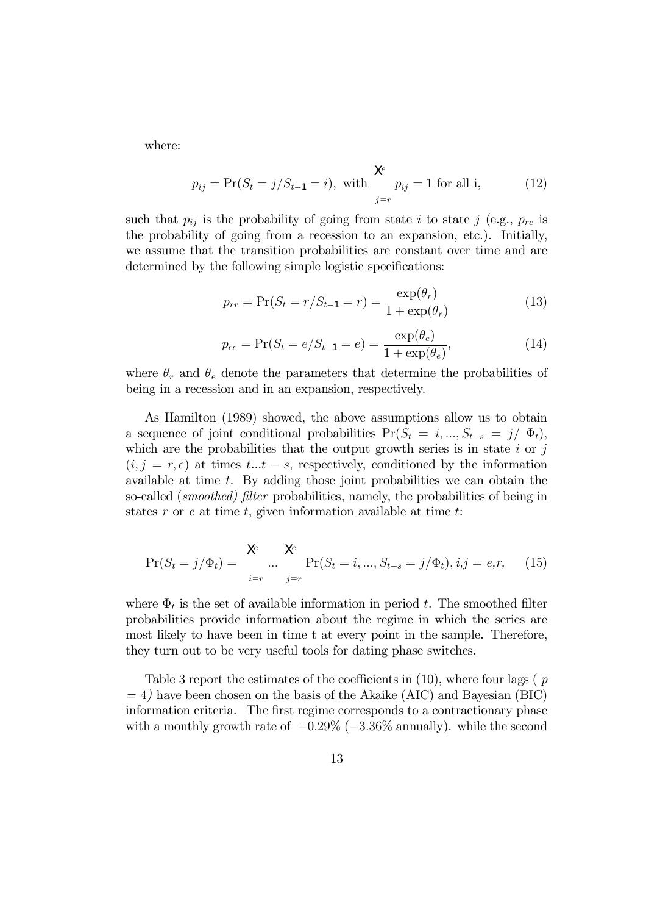where:

$$
p_{ij} = Pr(S_t = j/S_{t-1} = i),
$$
 with  $\sum_{j=r}^{\infty} p_{ij} = 1$  for all i, (12)

such that  $p_{ij}$  is the probability of going from state i to state j (e.g.,  $p_{re}$  is the probability of going from a recession to an expansion, etc.). Initially, we assume that the transition probabilities are constant over time and are determined by the following simple logistic specifications:

$$
p_{rr} = \Pr(S_t = r/S_{t-1} = r) = \frac{\exp(\theta_r)}{1 + \exp(\theta_r)}
$$
(13)

$$
p_{ee} = \Pr(S_t = e/S_{t-1} = e) = \frac{\exp(\theta_e)}{1 + \exp(\theta_e)},
$$
\n(14)

where  $\theta_r$  and  $\theta_e$  denote the parameters that determine the probabilities of being in a recession and in an expansion, respectively.

As Hamilton (1989) showed, the above assumptions allow us to obtain a sequence of joint conditional probabilities  $Pr(S_t = i, ..., S_{t-s} = j / \Phi_t)$ , which are the probabilities that the output growth series is in state  $i$  or  $j$  $(i, j = r, e)$  at times  $t...t - s$ , respectively, conditioned by the information available at time t. By adding those joint probabilities we can obtain the so-called (smoothed) filter probabilities, namely, the probabilities of being in states r or e at time t, given information available at time t.

$$
Pr(S_t = j/\Phi_t) = \sum_{i=r}^{\infty} \sum_{j=r}^{\infty} Pr(S_t = i, ..., S_{t-s} = j/\Phi_t), i, j = e, r,
$$
 (15)

where  $\Phi_t$  is the set of available information in period t. The smoothed filter probabilities provide information about the regime in which the series are most likely to have been in time t at every point in the sample. Therefore, they turn out to be very useful tools for dating phase switches.

Table 3 report the estimates of the coefficients in  $(10)$ , where four lags  $(p)$  $= 4$ ) have been chosen on the basis of the Akaike (AIC) and Bayesian (BIC) information criteria. The first regime corresponds to a contractionary phase with a monthly growth rate of  $-0.29\%$  ( $-3.36\%$  annually). while the second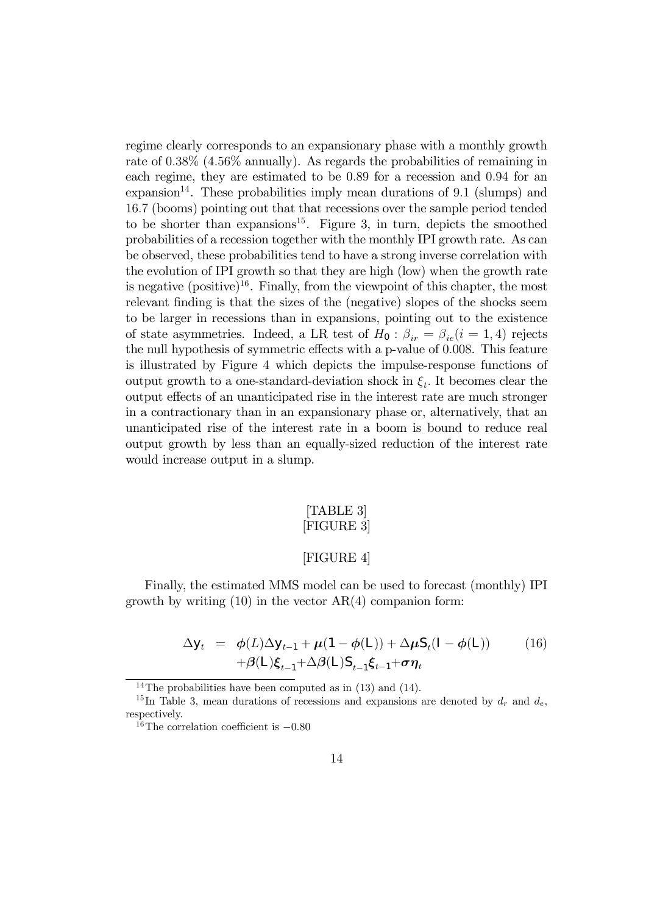regime clearly corresponds to an expansionary phase with a monthly growth rate of 0.38% (4.56% annually). As regards the probabilities of remaining in each regime, they are estimated to be 0.89 for a recession and 0.94 for an  $\alpha$  expansion<sup>14</sup>. These probabilities imply mean durations of 9.1 (slumps) and 16.7 (booms) pointing out that that recessions over the sample period tended to be shorter than expansions<sup>15</sup>. Figure 3, in turn, depicts the smoothed probabilities of a recession together with the monthly IPI growth rate. As can be observed, these probabilities tend to have a strong inverse correlation with the evolution of IPI growth so that they are high (low) when the growth rate is negative  $(positive)^{16}$ . Finally, from the viewpoint of this chapter, the most relevant finding is that the sizes of the (negative) slopes of the shocks seem to be larger in recessions than in expansions, pointing out to the existence of state asymmetries. Indeed, a LR test of  $H_0$ :  $\beta_{ir} = \beta_{ie}(i = 1, 4)$  rejects the null hypothesis of symmetric effects with a p-value of 0.008. This feature is illustrated by Figure 4 which depicts the impulse-response functions of output growth to a one-standard-deviation shock in  $\xi_t$ . It becomes clear the output effects of an unanticipated rise in the interest rate are much stronger in a contractionary than in an expansionary phase or, alternatively, that an unanticipated rise of the interest rate in a boom is bound to reduce real output growth by less than an equally-sized reduction of the interest rate would increase output in a slump.

#### [TABLE 3] [FIGURE 3]

#### [FIGURE 4]

Finally, the estimated MMS model can be used to forecast (monthly) IPI growth by writing  $(10)$  in the vector  $AR(4)$  companion form:

$$
\Delta y_t = \phi(L)\Delta y_{t-1} + \mu(1 - \phi(L)) + \Delta \mu S_t (I - \phi(L))
$$
  
+
$$
\beta(L)\xi_{t-1} + \Delta \beta(L)S_{t-1}\xi_{t-1} + \sigma \eta_t
$$
 (16)

<sup>&</sup>lt;sup>14</sup>The probabilities have been computed as in  $(13)$  and  $(14)$ .

<sup>&</sup>lt;sup>15</sup>In Table 3, mean durations of recessions and expansions are denoted by  $d_r$  and  $d_e$ , respectively.

<sup>&</sup>lt;sup>16</sup>The correlation coefficient is  $-0.80$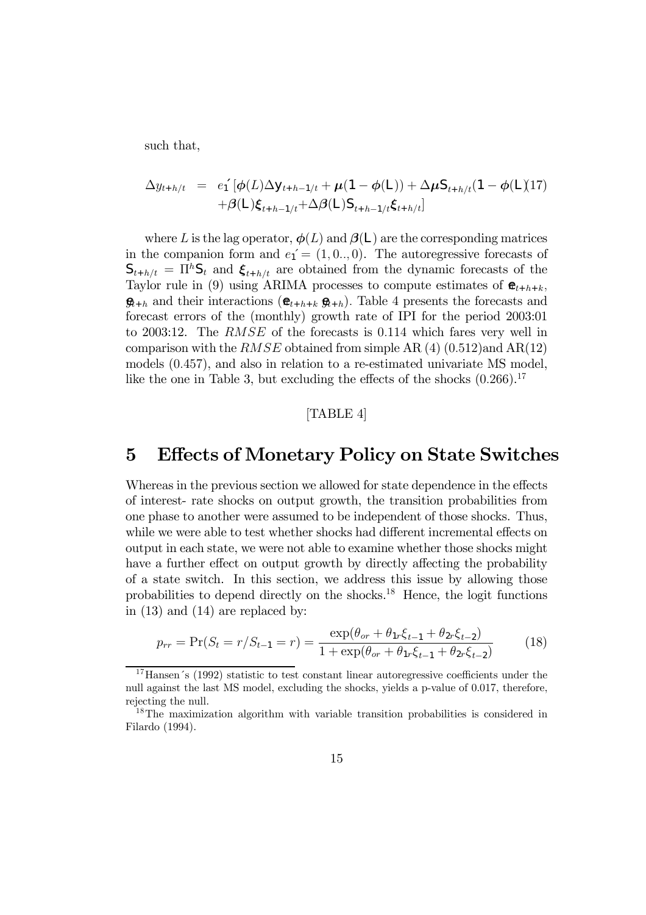such that,

$$
\Delta y_{t+h/t} = e_1^{\text{-}}[\phi(L)\Delta y_{t+h-1/t} + \mu(1-\phi(L)) + \Delta \mu S_{t+h/t}(1-\phi(L))T + \beta(L)\xi_{t+h-1/t} + \Delta \beta(L)S_{t+h-1/t}\xi_{t+h/t}]
$$

where L is the lag operator,  $\phi(L)$  and  $\beta(L)$  are the corresponding matrices in the companion form and  $e_1' = (1, 0, 0)$ . The autoregressive forecasts of  $S_{t+h/t} = \Pi^{h}S_{t}$  and  $\xi_{t+h/t}$  are obtained from the dynamic forecasts of the Taylor rule in (9) using ARIMA processes to compute estimates of  $\mathbf{\hat{E}}_{t+h+k}$ ,  $\mathbf{\mathfrak{g}}_{t+h}$  and their interactions  $(\mathbf{\mathfrak{e}}_{t+h+k} \mathbf{\mathfrak{g}}_{t+h})$ . Table 4 presents the forecasts and forecast errors of the (monthly) growth rate of IPI for the period 2003:01 to 2003:12. The RMSE of the forecasts is 0.114 which fares very well in comparison with the  $RMSE$  obtained from simple AR (4) (0.512)and AR(12) models (0.457), and also in relation to a re-estimated univariate MS model, like the one in Table 3, but excluding the effects of the shocks  $(0.266)$ .<sup>17</sup>

#### [TABLE 4]

## 5 Effects of Monetary Policy on State Switches

Whereas in the previous section we allowed for state dependence in the effects of interest- rate shocks on output growth, the transition probabilities from one phase to another were assumed to be independent of those shocks. Thus, while we were able to test whether shocks had different incremental effects on output in each state, we were not able to examine whether those shocks might have a further effect on output growth by directly affecting the probability of a state switch. In this section, we address this issue by allowing those probabilities to depend directly on the shocks.<sup>1</sup><sup>8</sup> Hence, the logit functions in (13) and (14) are replaced by:

$$
p_{rr} = \Pr(S_t = r/S_{t-1} = r) = \frac{\exp(\theta_{or} + \theta_{1r}\xi_{t-1} + \theta_{2r}\xi_{t-2})}{1 + \exp(\theta_{or} + \theta_{1r}\xi_{t-1} + \theta_{2r}\xi_{t-2})}
$$
(18)

<sup>&</sup>lt;sup>17</sup>Hansen's (1992) statistic to test constant linear autoregressive coefficients under the null against the last MS model, excluding the shocks, yields a p-value of 0.017, therefore, rejecting the null.

<sup>&</sup>lt;sup>18</sup>The maximization algorithm with variable transition probabilities is considered in Filardo (1994).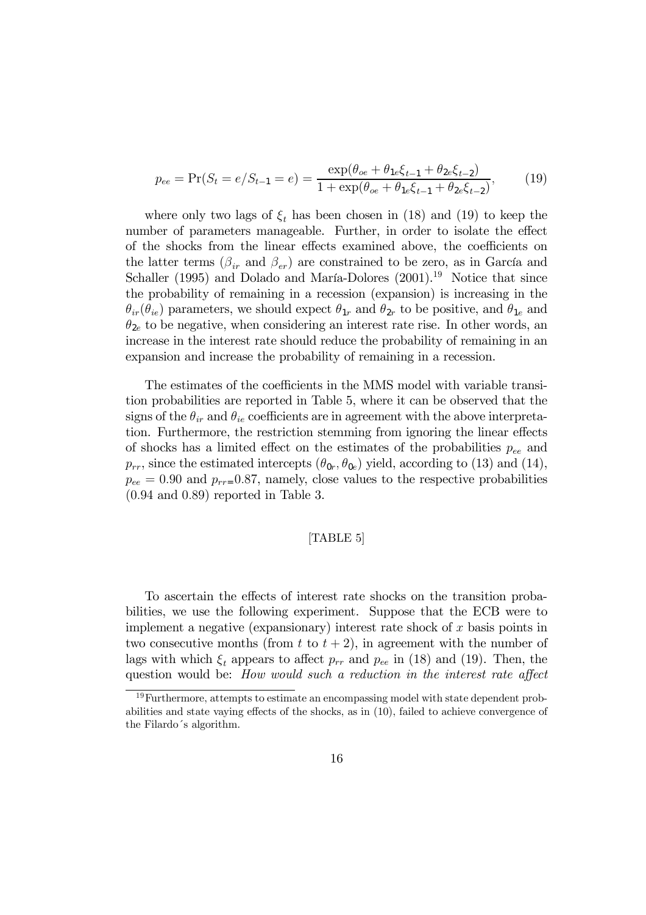$$
p_{ee} = \Pr(S_t = e/S_{t-1} = e) = \frac{\exp(\theta_{oe} + \theta_{1e}\xi_{t-1} + \theta_{2e}\xi_{t-2})}{1 + \exp(\theta_{oe} + \theta_{1e}\xi_{t-1} + \theta_{2e}\xi_{t-2})},
$$
(19)

where only two lags of  $\xi_t$  has been chosen in (18) and (19) to keep the number of parameters manageable. Further, in order to isolate the effect of the shocks from the linear effects examined above, the coefficients on the latter terms  $(\beta_{ir}$  and  $\beta_{er})$  are constrained to be zero, as in García and Schaller (1995) and Dolado and María-Dolores (2001).<sup>19</sup> Notice that since the probability of remaining in a recession (expansion) is increasing in the  $\theta_{ir}(\theta_{ie})$  parameters, we should expect  $\theta_{1r}$  and  $\theta_{2r}$  to be positive, and  $\theta_{1e}$  and  $\theta_{2e}$  to be negative, when considering an interest rate rise. In other words, an increase in the interest rate should reduce the probability of remaining in an expansion and increase the probability of remaining in a recession.

The estimates of the coefficients in the MMS model with variable transition probabilities are reported in Table 5, where it can be observed that the signs of the  $\theta_{ir}$  and  $\theta_{ie}$  coefficients are in agreement with the above interpretation. Furthermore, the restriction stemming from ignoring the linear effects of shocks has a limited effect on the estimates of the probabilities  $p_{ee}$  and  $p_{rr}$ , since the estimated intercepts  $(\theta_{0r}, \theta_{0e})$  yield, according to (13) and (14),  $p_{ee} = 0.90$  and  $p_{rr} = 0.87$ , namely, close values to the respective probabilities (0.94 and 0.89) reported in Table 3.

#### [TABLE 5]

To ascertain the effects of interest rate shocks on the transition probabilities, we use the following experiment. Suppose that the ECB were to implement a negative (expansionary) interest rate shock of  $x$  basis points in two consecutive months (from t to  $t + 2$ ), in agreement with the number of lags with which  $\xi_t$  appears to affect  $p_{rr}$  and  $p_{ee}$  in (18) and (19). Then, the question would be: How would such a reduction in the interest rate affect

<sup>&</sup>lt;sup>19</sup>Furthermore, attempts to estimate an encompassing model with state dependent probabilities and state vaying effects of the shocks, as in (10), failed to achieve convergence of the Filardo´s algorithm.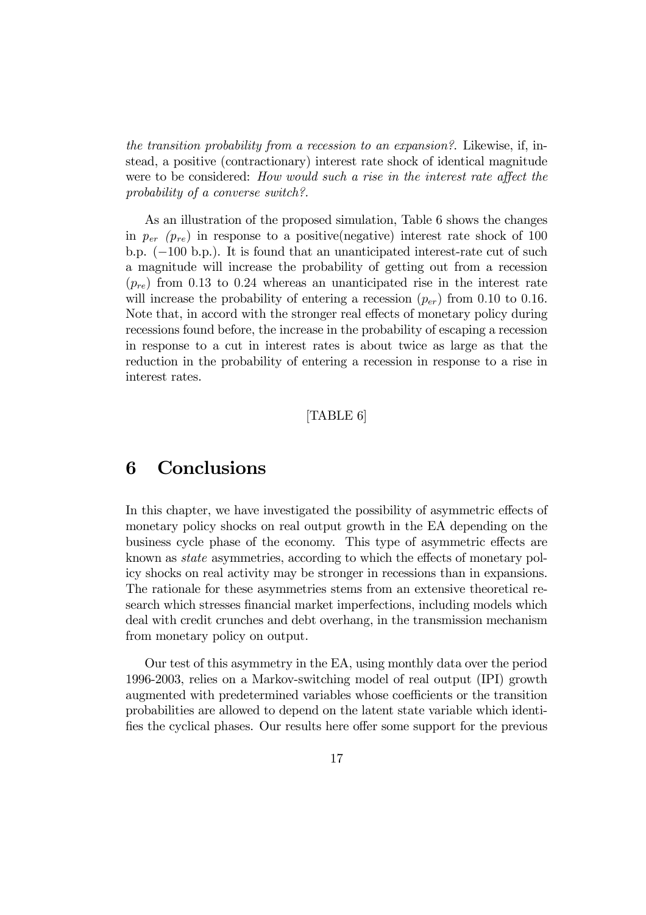the transition probability from a recession to an expansion?. Likewise, if, instead, a positive (contractionary) interest rate shock of identical magnitude were to be considered: How would such a rise in the interest rate affect the probability of a converse switch?.

As an illustration of the proposed simulation, Table 6 shows the changes in  $p_{er}$  ( $p_{re}$ ) in response to a positive(negative) interest rate shock of 100 b.p. (−100 b.p.). It is found that an unanticipated interest-rate cut of such a magnitude will increase the probability of getting out from a recession  $(p_{re})$  from 0.13 to 0.24 whereas an unanticipated rise in the interest rate will increase the probability of entering a recession  $(p_{er})$  from 0.10 to 0.16. Note that, in accord with the stronger real effects of monetary policy during recessions found before, the increase in the probability of escaping a recession in response to a cut in interest rates is about twice as large as that the reduction in the probability of entering a recession in response to a rise in interest rates.

#### [TABLE 6]

## 6 Conclusions

In this chapter, we have investigated the possibility of asymmetric effects of monetary policy shocks on real output growth in the EA depending on the business cycle phase of the economy. This type of asymmetric effects are known as state asymmetries, according to which the effects of monetary policy shocks on real activity may be stronger in recessions than in expansions. The rationale for these asymmetries stems from an extensive theoretical research which stresses financial market imperfections, including models which deal with credit crunches and debt overhang, in the transmission mechanism from monetary policy on output.

Our test of this asymmetry in the EA, using monthly data over the period 1996-2003, relies on a Markov-switching model of real output (IPI) growth augmented with predetermined variables whose coefficients or the transition probabilities are allowed to depend on the latent state variable which identifies the cyclical phases. Our results here offer some support for the previous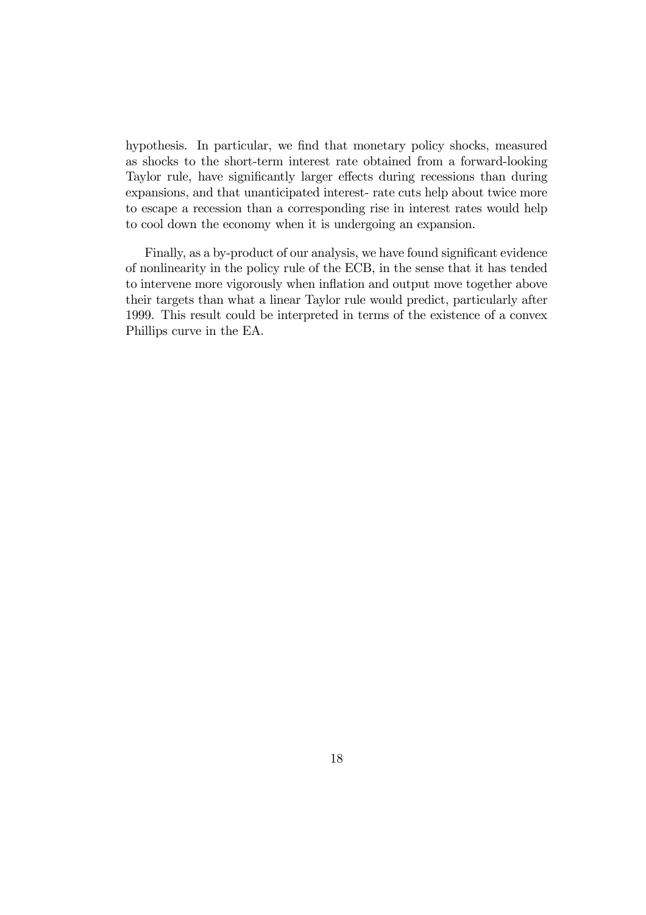hypothesis. In particular, we find that monetary policy shocks, measured as shocks to the short-term interest rate obtained from a forward-looking Taylor rule, have significantly larger effects during recessions than during expansions, and that unanticipated interest- rate cuts help about twice more to escape a recession than a corresponding rise in interest rates would help to cool down the economy when it is undergoing an expansion.

Finally, as a by-product of our analysis, we have found significant evidence of nonlinearity in the policy rule of the ECB, in the sense that it has tended to intervene more vigorously when inflation and output move together above their targets than what a linear Taylor rule would predict, particularly after 1999. This result could be interpreted in terms of the existence of a convex Phillips curve in the EA.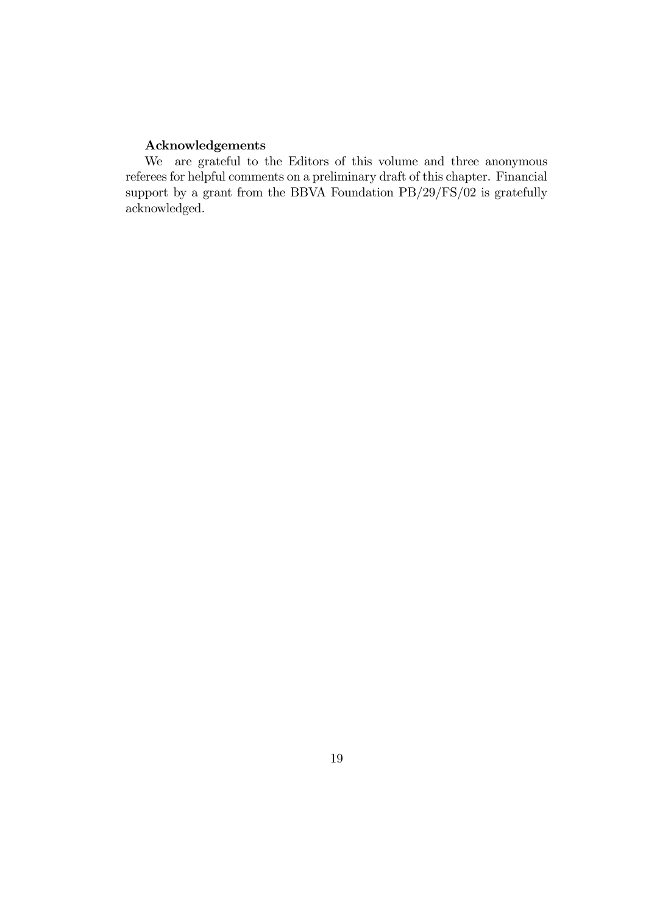### Acknowledgements

We are grateful to the Editors of this volume and three anonymous referees for helpful comments on a preliminary draft of this chapter. Financial support by a grant from the BBVA Foundation PB/29/FS/02 is gratefully acknowledged.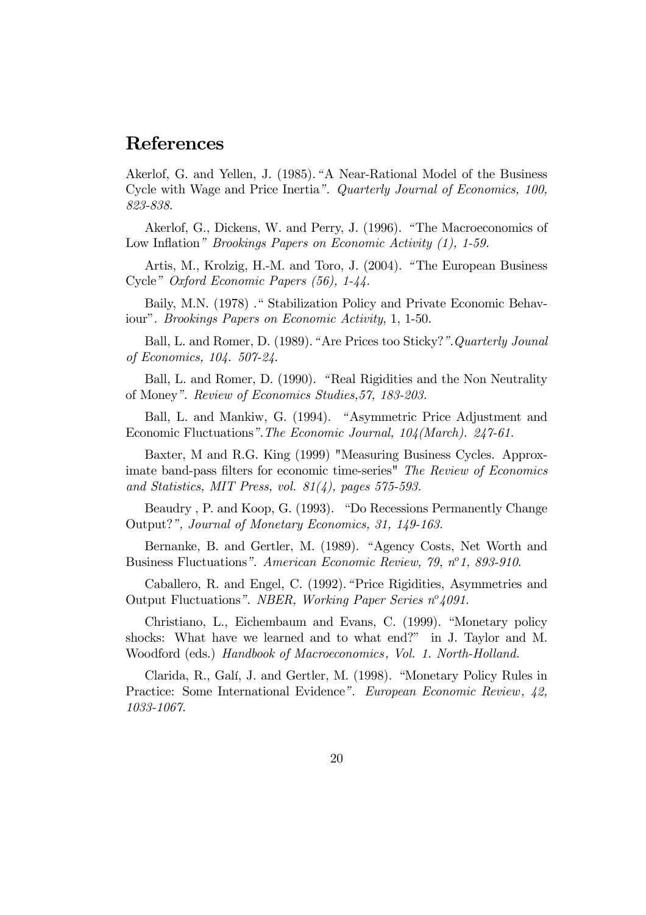## References

Akerlof, G. and Yellen, J. (1985)."A Near-Rational Model of the Business Cycle with Wage and Price Inertia". Quarterly Journal of Economics, 100, 823-838.

Akerlof, G., Dickens, W. and Perry, J. (1996). " The Macroeconomics of Low Inflation" Brookings Papers on Economic Activity (1), 1-59.

Artis, M., Krolzig, H.-M. and Toro, J. (2004). " The European Business Cycle" Oxford Economic Papers (56), 1-44.

Baily, M.N. (1978) ." Stabilization Policy and Private Economic Behaviour". Brookings Papers on Economic Activity, 1, 1-50.

Ball, L. and Romer, D. (1989)."Are Prices too Sticky?".Quarterly Jounal of Economics, 104. 507-24.

Ball, L. and Romer, D. (1990). " Real Rigidities and the Non Neutrality of Money". Review of Economics Studies,57, 183-203.

Ball, L. and Mankiw, G. (1994). " Asymmetric Price Adjustment and Economic Fluctuations".The Economic Journal, 104(March). 247-61.

Baxter, M and R.G. King (1999) "Measuring Business Cycles. Approximate band-pass filters for economic time-series" The Review of Economics and Statistics, MIT Press, vol. 81(4), pages 575-593.

Beaudry , P. and Koop, G. (1993). "Do Recessions Permanently Change Output?", Journal of Monetary Economics, 31, 149-163.

Bernanke, B. and Gertler, M. (1989). "Agency Costs, Net Worth and Business Fluctuations". American Economic Review, 79, nº1, 893-910.

Caballero, R. and Engel, C. (1992)."Price Rigidities, Asymmetries and Output Fluctuations". NBER, Working Paper Series  $n^{\circ}4091$ .

Christiano, L., Eichembaum and Evans, C. (1999). "Monetary policy shocks: What have we learned and to what end?" in J. Taylor and M. Woodford (eds.) Handbook of Macroeconomics, Vol. 1. North-Holland.

Clarida, R., Galí, J. and Gertler, M. (1998). "Monetary Policy Rules in Practice: Some International Evidence". European Economic Review, 42, 1033-1067.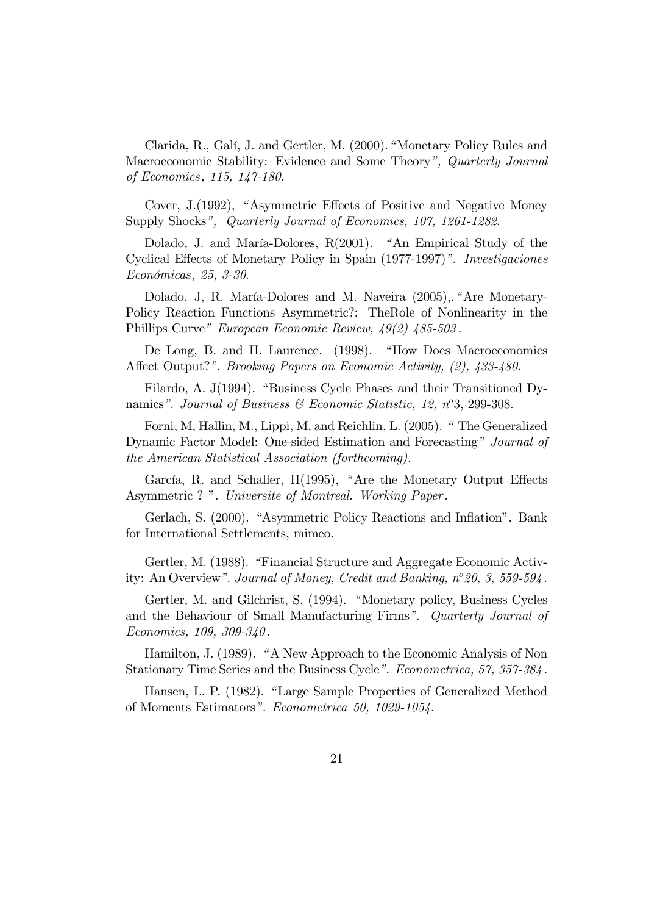Clarida, R., Galí, J. and Gertler, M. (2000)."Monetary Policy Rules and Macroeconomic Stability: Evidence and Some Theory", Quarterly Journal of Economics, 115, 147-180.

Cover, J.(1992), " Asymmetric Effects of Positive and Negative Money Supply Shocks", Quarterly Journal of Economics, 107, 1261-1282.

Dolado, J. and María-Dolores, R(2001). " An Empirical Study of the Cyclical Effects of Monetary Policy in Spain (1977-1997)". Investigaciones Económicas, 25, 3-30.

Dolado, J, R. María-Dolores and M. Naveira (2005),."Are Monetary-Policy Reaction Functions Asymmetric?: TheRole of Nonlinearity in the Phillips Curve" European Economic Review, 49(2) 485-503 .

De Long, B. and H. Laurence. (1998). "How Does Macroeconomics Affect Output?". *Brooking Papers on Economic Activity, (2), 433-480.* 

Filardo, A. J(1994). "Business Cycle Phases and their Transitioned Dynamics". Journal of Business  $\mathcal C$  Economic Statistic, 12, n°3, 299-308.

Forni, M, Hallin, M., Lippi, M, and Reichlin, L. (2005). " The Generalized Dynamic Factor Model: One-sided Estimation and Forecasting" Journal of the American Statistical Association (forthcoming).

García, R. and Schaller, H(1995), " Are the Monetary Output Effects Asymmetric ? ". Universite of Montreal. Working Paper .

Gerlach, S. (2000). "Asymmetric Policy Reactions and Inflation". Bank for International Settlements, mimeo.

Gertler, M. (1988). "Financial Structure and Aggregate Economic Activity: An Overview". Journal of Money, Credit and Banking,  $n^{\circ}20$ , 3, 559-594.

Gertler, M. and Gilchrist, S. (1994). " Monetary policy, Business Cycles and the Behaviour of Small Manufacturing Firms". Quarterly Journal of Economics, 109, 309-340 .

Hamilton, J. (1989). " A New Approach to the Economic Analysis of Non Stationary Time Series and the Business Cycle". Econometrica, 57, 357-384 .

Hansen, L. P. (1982). "Large Sample Properties of Generalized Method of Moments Estimators". Econometrica 50, 1029-1054.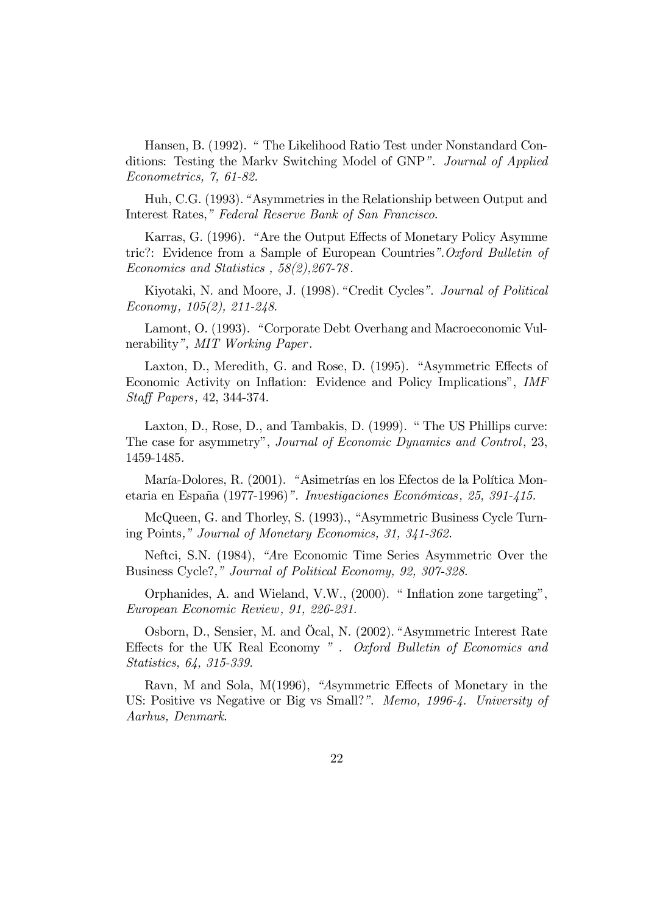Hansen, B. (1992). " The Likelihood Ratio Test under Nonstandard Conditions: Testing the Markv Switching Model of GNP". Journal of Applied Econometrics, 7, 61-82.

Huh, C.G. (1993)."Asymmetries in the Relationship between Output and Interest Rates," Federal Reserve Bank of San Francisco.

Karras, G. (1996). "Are the Output Effects of Monetary Policy Asymme tric?: Evidence from a Sample of European Countries".Oxford Bulletin of Economics and Statistics , 58(2),267-78 .

Kiyotaki, N. and Moore, J. (1998)." Credit Cycles". Journal of Political Economy, 105(2), 211-248.

Lamont, O. (1993). " Corporate Debt Overhang and Macroeconomic Vulnerability", MIT Working Paper.

Laxton, D., Meredith, G. and Rose, D. (1995). "Asymmetric Effects of Economic Activity on Inflation: Evidence and Policy Implications", IMF Staff Papers, 42, 344-374.

Laxton, D., Rose, D., and Tambakis, D. (1999). " The US Phillips curve: The case for asymmetry", Journal of Economic Dynamics and Control, 23, 1459-1485.

María-Dolores, R. (2001). "Asimetrías en los Efectos de la Política Monetaria en España (1977-1996)". Investigaciones Económicas, 25, 391-415.

McQueen, G. and Thorley, S. (1993)., "Asymmetric Business Cycle Turning Points," Journal of Monetary Economics, 31, 341-362.

Neftci, S.N. (1984), "Are Economic Time Series Asymmetric Over the Business Cycle?," Journal of Political Economy, 92, 307-328.

Orphanides, A. and Wieland, V.W., (2000). " Inflation zone targeting", European Economic Review , 91, 226-231.

Osborn, D., Sensier, M. and Öcal, N. (2002)." Asymmetric Interest Rate Effects for the UK Real Economy " . Oxford Bulletin of Economics and Statistics, 64, 315-339.

Ravn, M and Sola, M(1996), "Asymmetric Effects of Monetary in the US: Positive vs Negative or Big vs Small?". Memo, 1996-4. University of Aarhus, Denmark.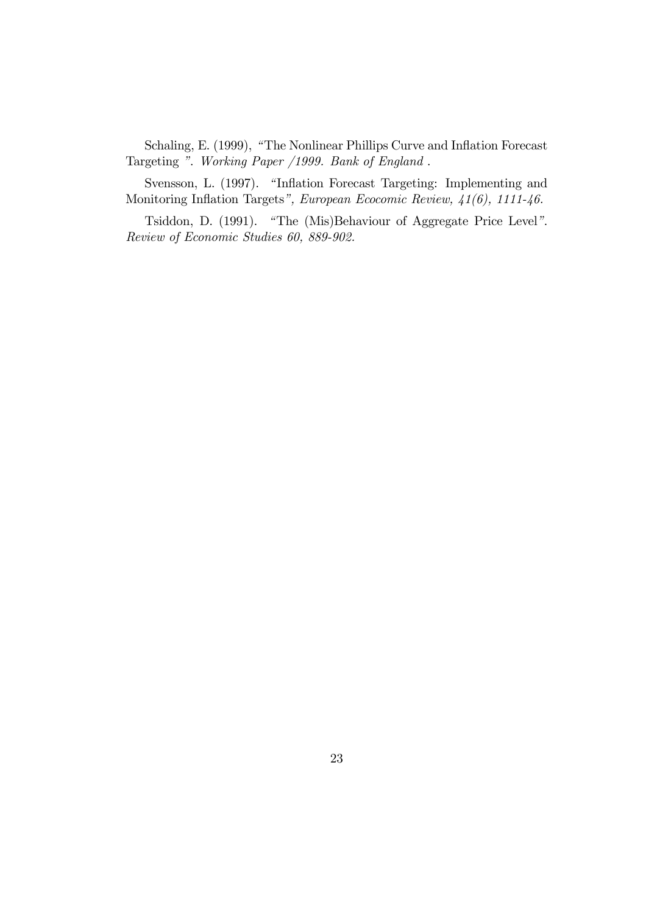Schaling, E. (1999), "The Nonlinear Phillips Curve and Inflation Forecast Targeting ". Working Paper /1999. Bank of England .

Svensson, L. (1997). "Inflation Forecast Targeting: Implementing and Monitoring Inflation Targets", European Ecocomic Review, 41(6), 1111-46.

Tsiddon, D. (1991). " The (Mis)Behaviour of Aggregate Price Level". Review of Economic Studies 60, 889-902.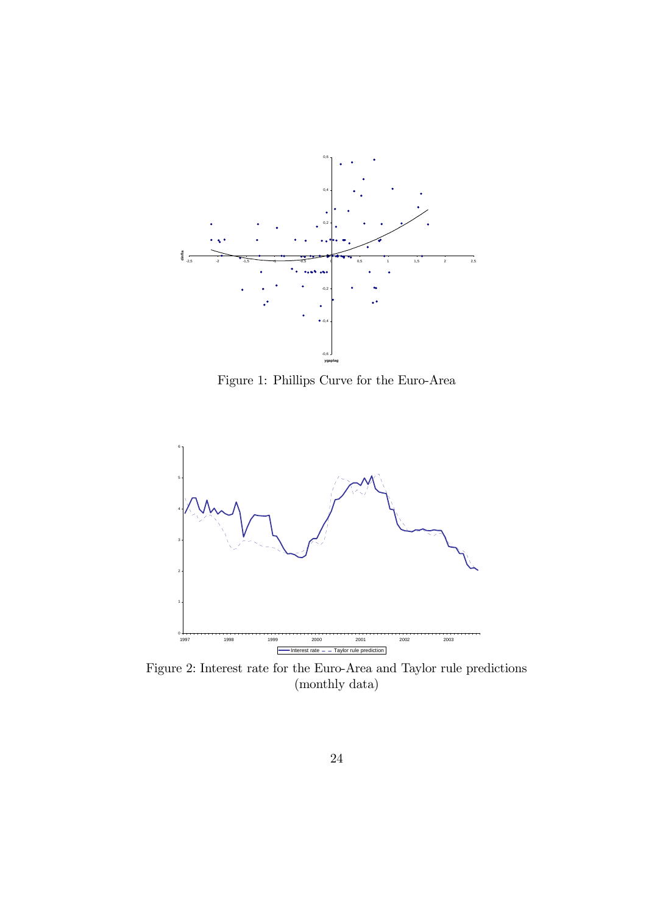

Figure 1: Phillips Curve for the Euro-Area



Figure 2: Interest rate for the Euro-Area and Taylor rule predictions (monthly data)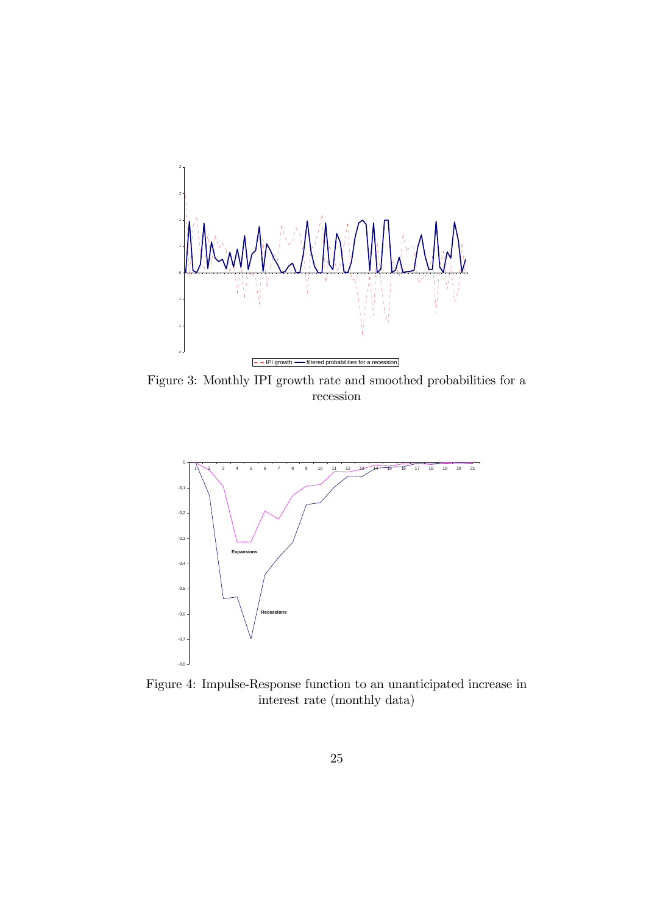

Figure 3: Monthly IPI growth rate and smoothed probabilities for a recession



Figure 4: Impulse-Response function to an unanticipated increase in interest rate (monthly data)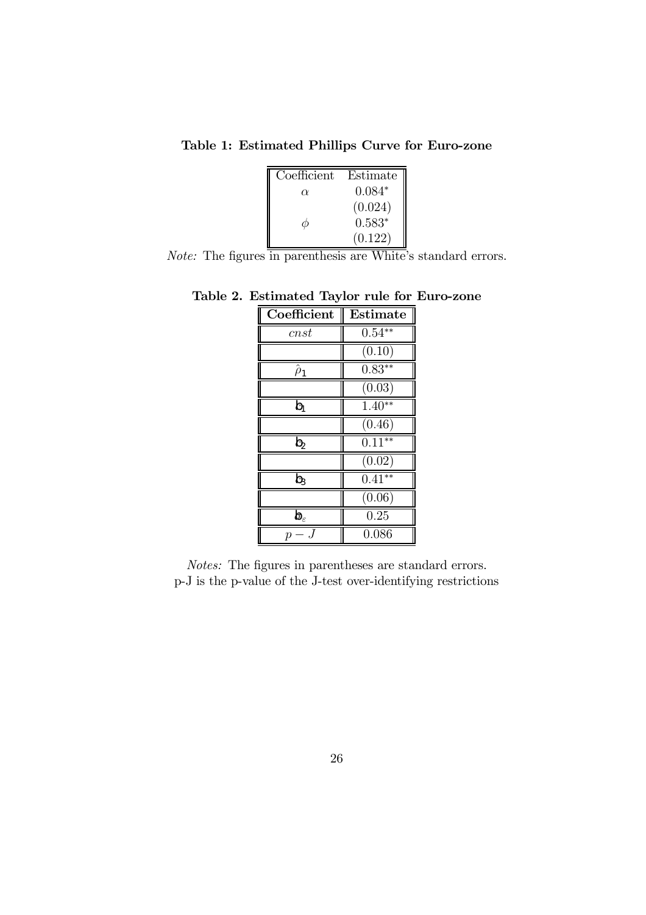Table 1: Estimated Phillips Curve for Euro-zone

| Coefficient | Estimate $\parallel$ |  |
|-------------|----------------------|--|
| $\alpha$    | $0.084*$             |  |
|             | (0.024)              |  |
|             | $0.583*$             |  |
|             | (0.122)              |  |

Note: The figures in parenthesis are White's standard errors.

| Coefficient          | <b>Estimate</b> |
|----------------------|-----------------|
| cnst                 | $0.54**$        |
|                      | (0.10)          |
| $\hat{\rho}_1$       | $0.83**$        |
|                      | (0.03)          |
| b                    | $1.40**$        |
|                      | (0.46)          |
| $b_{2}$              | $0.11***$       |
|                      | (0.02)          |
| b                    | $0.41**$        |
|                      | (0.06)          |
| $\pmb b_\varepsilon$ | 0.25            |
| р                    | 0.086           |

Table 2. Estimated Taylor rule for Euro-zone

Notes: The figures in parentheses are standard errors. p-J is the p-value of the J-test over-identifying restrictions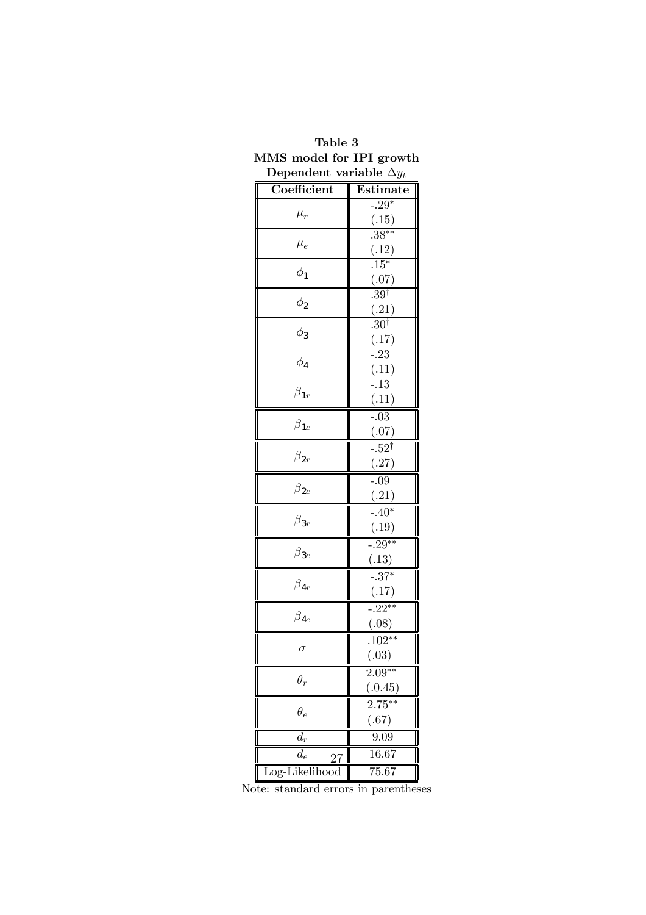| Dependent variable $\Delta y_t$ |                          |  |  |  |
|---------------------------------|--------------------------|--|--|--|
| Coefficient                     | Estimate                 |  |  |  |
| $\mu_r$                         | $-29*$                   |  |  |  |
|                                 | $\frac{(.15)}{.38**}$    |  |  |  |
| $\mu_e$                         |                          |  |  |  |
|                                 | (.12)                    |  |  |  |
| $\phi_1$                        | $.15*$                   |  |  |  |
|                                 | (.07)<br>$.39^{\dagger}$ |  |  |  |
| $\phi_2$                        |                          |  |  |  |
|                                 | (.21)<br>$.30^{\dagger}$ |  |  |  |
| $\phi_3$                        |                          |  |  |  |
|                                 | $\frac{(.17)}{-.23}$     |  |  |  |
| $\phi_4$                        |                          |  |  |  |
|                                 | $\frac{(.11)}{-.13}$     |  |  |  |
| $\beta_{1r}$                    | (.11)                    |  |  |  |
|                                 | $-0.03$                  |  |  |  |
| $\beta_{1e}$                    | (.07)                    |  |  |  |
|                                 | $-.52$ <sup>†</sup>      |  |  |  |
| $\beta_{2r}$                    | (.27)                    |  |  |  |
|                                 | $-.09$                   |  |  |  |
| $\beta_{2e}$                    | (.21)                    |  |  |  |
|                                 | $\frac{-}{-40^*}$        |  |  |  |
| $\beta_{3r}$                    | (.19)                    |  |  |  |
|                                 | $\frac{1}{-0.29}$ **     |  |  |  |
| $\beta_{3e}$                    | (.13)                    |  |  |  |
| $\beta_{4r}$                    | $\frac{1}{-.37*}$        |  |  |  |
|                                 | (.17)                    |  |  |  |
| $\beta_{4e}$                    | $\frac{1}{-22^{**}}$     |  |  |  |
|                                 | (.08)                    |  |  |  |
| $\sigma$                        | $.102**$                 |  |  |  |
|                                 | (.03)                    |  |  |  |
| $\theta_r$                      | $2.09***$                |  |  |  |
|                                 | $\frac{(.0.45)}{2.75**}$ |  |  |  |
| $\theta_e$                      |                          |  |  |  |
|                                 | (.67)                    |  |  |  |
| $\overline{d_r}$                | 9.09                     |  |  |  |
| $d_e$                           | 16.67                    |  |  |  |
| Log-Likelihood                  | 75.67                    |  |  |  |

### Table 3 MMS model for IPI growth Dependent variable  $\Delta y_t$

Note: standard errors in parentheses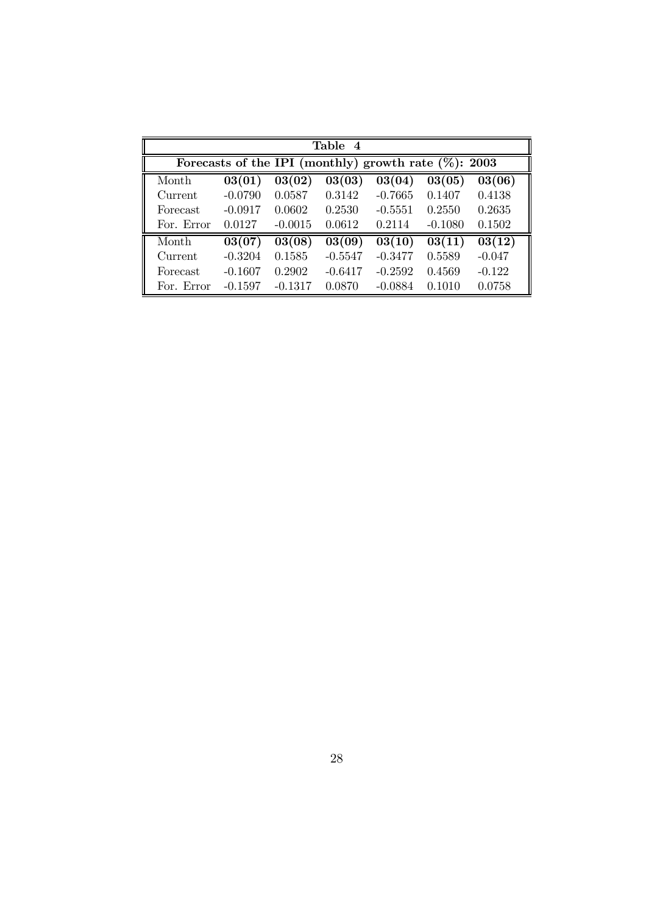| Table 4    |                                                          |                     |           |           |           |                     |
|------------|----------------------------------------------------------|---------------------|-----------|-----------|-----------|---------------------|
|            | Forecasts of the IPI (monthly) growth rate $(\%)$ : 2003 |                     |           |           |           |                     |
| Month      | 03(01)                                                   | 03(02)              | 03(03)    | 03(04)    | 03(05)    | 03(06)              |
| Current    | $-0.0790$                                                | 0.0587              | 0.3142    | $-0.7665$ | 0.1407    | 0.4138              |
| Forecast   | $-0.0917$                                                | 0.0602              | 0.2530    | $-0.5551$ | 0.2550    | 0.2635              |
| For. Error | 0.0127                                                   | $-0.0015$           | 0.0612    | 0.2114    | $-0.1080$ | 0.1502              |
| Month      | 03(07)                                                   | $\overline{03(08)}$ | 03(09)    | 03(10)    | 03(11)    | $\overline{03(12)}$ |
| Current    | $-0.3204$                                                | 0.1585              | $-0.5547$ | $-0.3477$ | 0.5589    | $-0.047$            |
| Forecast   | $-0.1607$                                                | 0.2902              | $-0.6417$ | $-0.2592$ | 0.4569    | $-0.122$            |
| For. Error | $-0.1597$                                                | $-0.1317$           | 0.0870    | $-0.0884$ | 0.1010    | 0.0758              |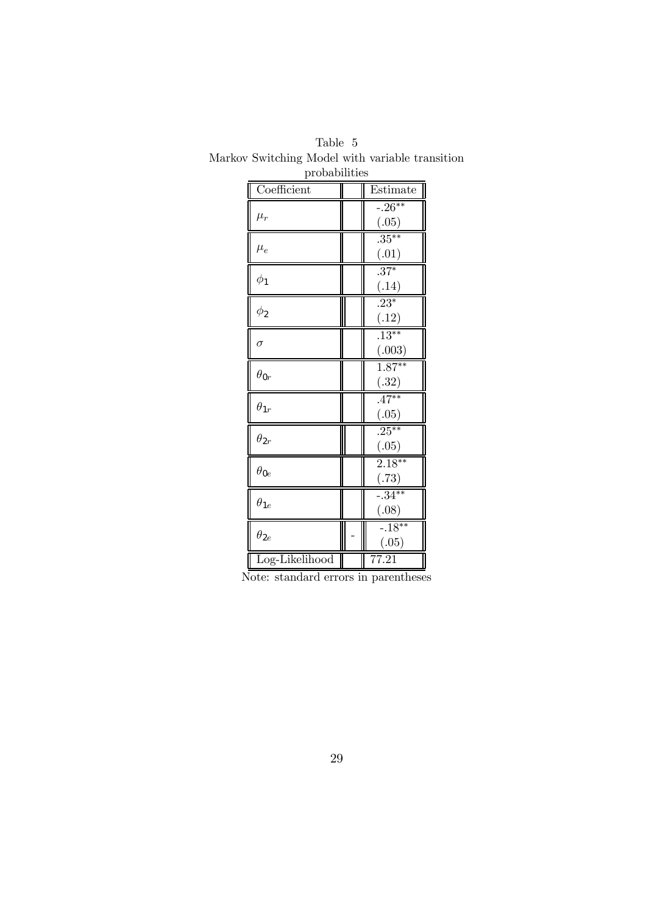| propabilities  |  |                               |  |
|----------------|--|-------------------------------|--|
| Coefficient    |  | Estimate                      |  |
| $\mu_r$        |  | $-0.26**$<br>(.05)            |  |
| $\mu_e$        |  | $.35***$<br>(.01)             |  |
| $\phi_1$       |  | $.37*$<br>(.14)               |  |
| $\phi_2$       |  | $.23*$<br>(.12)               |  |
| $\sigma$       |  | $\overline{.13***}$<br>(.003) |  |
| $\theta_{0r}$  |  | $1.87***$<br>(.32)            |  |
| $\theta_{1r}$  |  | $.47***$<br>(.05)             |  |
| $\theta_{2r}$  |  | $.25***$<br>(.05)             |  |
| $\theta_{0e}$  |  | $2.18***$<br>(.73)            |  |
| $\theta_{1e}$  |  | $-.34**$<br>(.08)             |  |
| $\theta_{2e}$  |  | $-18**$<br>(.05)              |  |
| Log-Likelihood |  | $\overline{77.21}$            |  |

Table 5 Markov Switching Model with variable transition ,<br>probabilities

Note: standard errors in parentheses